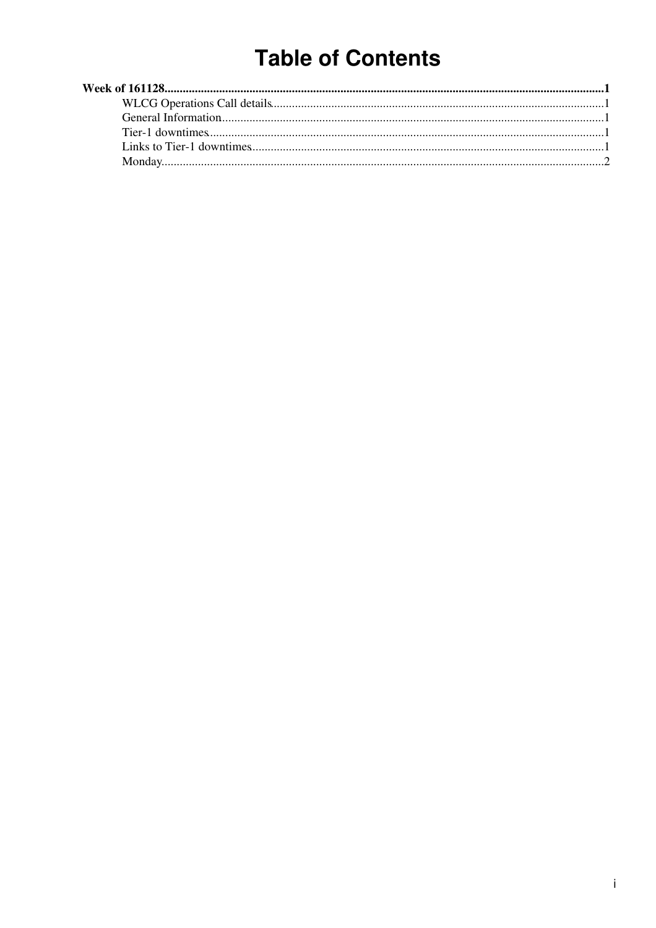# **Table of Contents**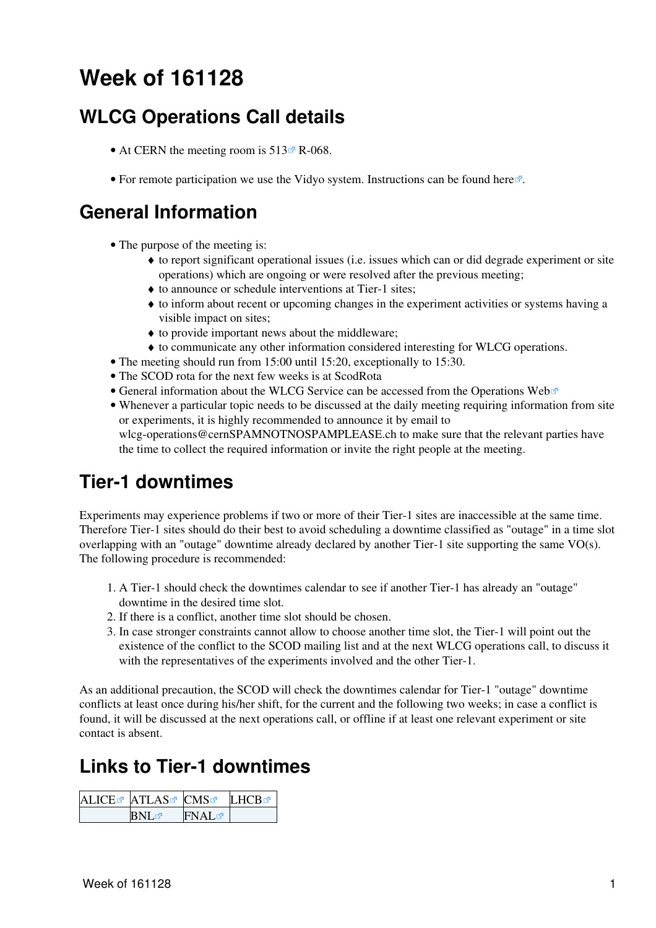# <span id="page-1-0"></span>**Week of 161128**

## <span id="page-1-1"></span>**WLCG Operations Call details**

- At CERN the meeting room is  $513 \times R 068$ .
- For remote participation we use the Vidyo system. Instructions can be found [here](https://indico.cern.ch/conferenceDisplay.py?confId=287280)  $\mathbb{F}$ .

#### <span id="page-1-2"></span>**General Information**

- The purpose of the meeting is:
	- to report significant operational issues (i.e. issues which can or did degrade experiment or site ♦ operations) which are ongoing or were resolved after the previous meeting;
	- ♦ to announce or schedule interventions at Tier-1 sites;
	- to inform about recent or upcoming changes in the experiment activities or systems having a ♦ visible impact on sites;
	- ♦ to provide important news about the middleware;
	- ♦ to communicate any other information considered interesting for WLCG operations.
- The meeting should run from 15:00 until 15:20, exceptionally to 15:30.
- The SCOD rota for the next few weeks is at [ScodRota](https://twiki.cern.ch/twiki/bin/view/LCG/ScodRota)
- General information about the WLCG Service can be accessed from the [Operations Web](https://wlcg-ops.web.cern.ch/) $\Phi$
- Whenever a particular topic needs to be discussed at the daily meeting requiring information from site or experiments, it is highly recommended to announce it by email to [wlcg-operations@cernSPAMNOTNOSPAMPLEASE.ch](mailto:wlcg-operations@cernSPAMNOTNOSPAMPLEASE.ch) to make sure that the relevant parties have the time to collect the required information or invite the right people at the meeting.

#### <span id="page-1-3"></span>**Tier-1 downtimes**

Experiments may experience problems if two or more of their Tier-1 sites are inaccessible at the same time. Therefore Tier-1 sites should do their best to avoid scheduling a downtime classified as "outage" in a time slot overlapping with an "outage" downtime already declared by another Tier-1 site supporting the same VO(s). The following procedure is recommended:

- A Tier-1 should check the downtimes calendar to see if another Tier-1 has already an "outage" 1. downtime in the desired time slot.
- 2. If there is a conflict, another time slot should be chosen.
- 3. In case stronger constraints cannot allow to choose another time slot, the Tier-1 will point out the existence of the conflict to the SCOD mailing list and at the next WLCG operations call, to discuss it with the representatives of the experiments involved and the other Tier-1.

As an additional precaution, the SCOD will check the downtimes calendar for Tier-1 "outage" downtime conflicts at least once during his/her shift, for the current and the following two weeks; in case a conflict is found, it will be discussed at the next operations call, or offline if at least one relevant experiment or site contact is absent.

### <span id="page-1-4"></span>**Links to Tier-1 downtimes**

| ALICE& ATLAS& CMS |             | I HCB <b>ø</b> |
|-------------------|-------------|----------------|
| <b>BNL</b>        | <b>FNAL</b> |                |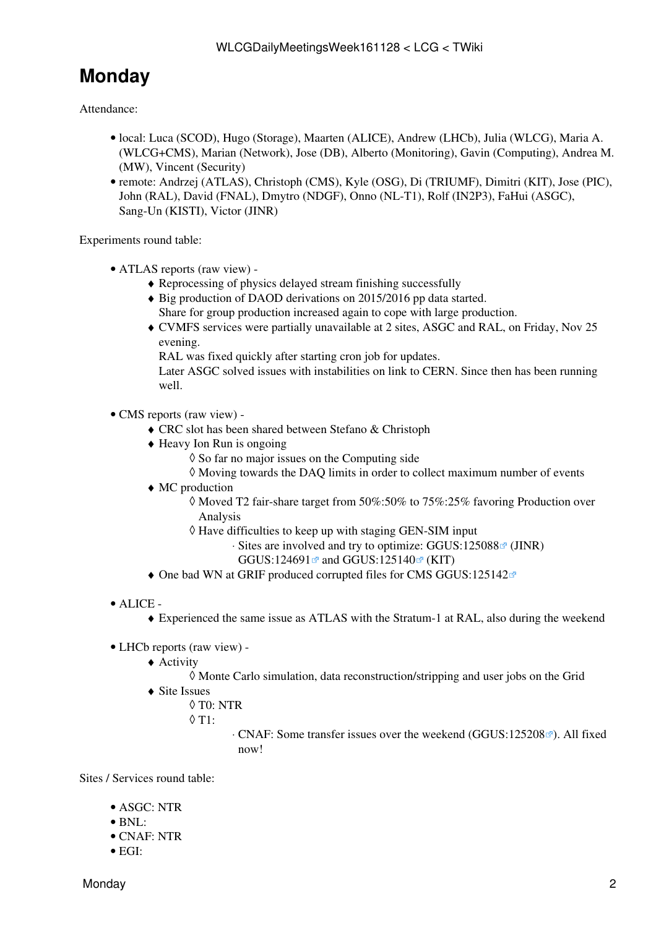## <span id="page-2-0"></span>**Monday**

Attendance:

- · local: Luca (SCOD), Hugo (Storage), Maarten (ALICE), Andrew (LHCb), Julia (WLCG), Maria A. (WLCG+CMS), Marian (Network), Jose (DB), Alberto (Monitoring), Gavin (Computing), Andrea M. (MW), Vincent (Security)
- remote: Andrzej (ATLAS), Christoph (CMS), Kyle (OSG), Di (TRIUMF), Dimitri (KIT), Jose (PIC), John [\(RAL](https://twiki.cern.ch/twiki/bin/view/LCG/RAL)), David (FNAL), Dmytro (NDGF), Onno (NL-T1), Rolf ([IN2P3](https://twiki.cern.ch/twiki/bin/view/LCG/IN2P3)), [FaHui](https://twiki.cern.ch/twiki/bin/edit/LCG/FaHui?topicparent=LCG.WLCGDailyMeetingsWeek161128;nowysiwyg=1) (ASGC), Sang-Un (KISTI), Victor (JINR)

Experiments round table:

- ATLAS [reports](https://twiki.cern.ch/twiki/bin/view/AtlasComputing/ADCOperationsWeeklySummaries2016) [\(raw view\)](https://twiki.cern.ch/twiki/bin/view/AtlasComputing/ADCOperationsWeeklySummaries2016?raw=on) •
	- ♦ Reprocessing of physics delayed stream finishing successfully
	- ◆ Big production of DAOD derivations on 2015/2016 pp data started. Share for group production increased again to cope with large production.
	- CVMFS services were partially unavailable at 2 sites, ASGC and [RAL,](https://twiki.cern.ch/twiki/bin/view/LCG/RAL) on Friday, Nov 25 ♦ evening.

[RAL](https://twiki.cern.ch/twiki/bin/view/LCG/RAL) was fixed quickly after starting cron job for updates.

Later ASGC solved issues with instabilities on link to CERN. Since then has been running well.

- CMS [reports](https://twiki.cern.ch/twiki/bin/view/CMS/FacOps_WLCGdailyreports) ([raw view\)](https://twiki.cern.ch/twiki/bin/view/CMS/FacOps_WLCGdailyreports?raw=on) •
	- ♦ CRC slot has been shared between Stefano & Christoph
	- Heavy Ion Run is ongoing ♦
		- ◊ So far no major issues on the Computing side
		- ◊ Moving towards the DAQ limits in order to collect maximum number of events
	- MC production ♦
		- $\lozenge$  Moved T2 fair-share target from 50%:50% to 75%:25% favoring Production over Analysis
		- Have difficulties to keep up with staging GEN-SIM input ◊
			- ⋅ Sites are involved and try to optimize: [GGUS:125088](https://ggus.eu/ws/ticket_info.php?ticket=125088)<sup>a</sup> (JINR)
				- GGUS: $124691$  and GGUS: $125140$  (KIT)
	- $\triangle$  One bad WN at GRIF produced corrupted files for CMS [GGUS:125142](https://ggus.eu/ws/ticket_info.php?ticket=125142)<sup>®</sup>
- ALICE •
	- ♦ Experienced the same issue as ATLAS with the Stratum-1 at [RAL](https://twiki.cern.ch/twiki/bin/view/LCG/RAL), also during the weekend
- LHCb [reports](https://twiki.cern.ch/twiki/bin/view/LHCb/ProductionOperationsWLCGdailyReports) [\(raw view\)](https://twiki.cern.ch/twiki/bin/view/LHCb/ProductionOperationsWLCGdailyReports?raw=on) -
	- Activity ♦
		- ◊ Monte Carlo simulation, data reconstruction/stripping and user jobs on the Grid
	- Site Issues ♦
		- ◊ T0: NTR
			- $\lozenge$  T1:
- ⋅ CNAF: Some transfer issues over the weekend [\(GGUS:125208](https://ggus.eu/ws/ticket_info.php?ticket=125208) <sup>a</sup>). All fixed now!

Sites / Services round table:

- ASGC: NTR
- $\bullet$  BNL:
- CNAF: NTR
- EGI: